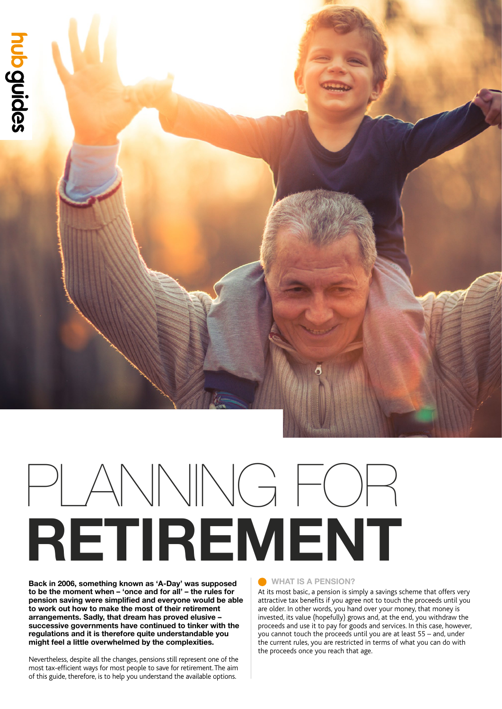

# **RETIREMENT** PLANNING FOR

**Back in 2006, something known as 'A-Day' was supposed to be the moment when – 'once and for all' – the rules for pension saving were simplified and everyone would be able to work out how to make the most of their retirement arrangements. Sadly, that dream has proved elusive – successive governments have continued to tinker with the regulations and it is therefore quite understandable you might feel a little overwhelmed by the complexities.**

Nevertheless, despite all the changes, pensions still represent one of the most tax-efficient ways for most people to save for retirement. The aim of this guide, therefore, is to help you understand the available options.

#### **WHAT IS A PENSION?**

At its most basic, a pension is simply a savings scheme that offers very attractive tax benefits if you agree not to touch the proceeds until you are older. In other words, you hand over your money, that money is invested, its value (hopefully) grows and, at the end, you withdraw the proceeds and use it to pay for goods and services. In this case, however, you cannot touch the proceeds until you are at least 55 – and, under the current rules, you are restricted in terms of what you can do with the proceeds once you reach that age.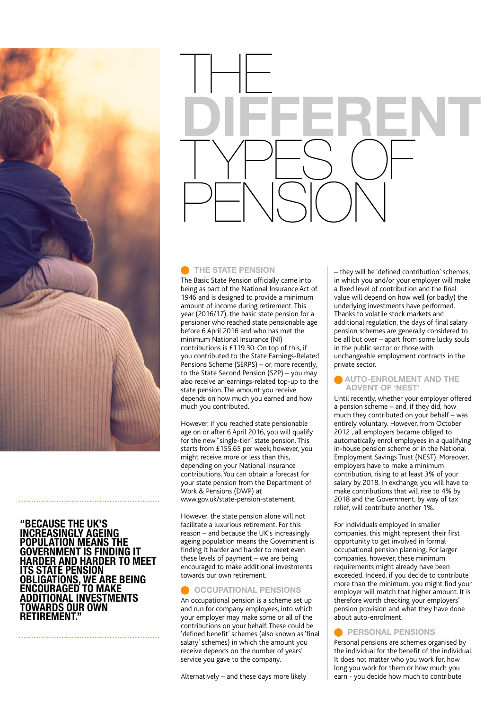

#### **"BECAUSE THE UK'S INCREASINGLY AGEING POPULATION MEANS THE GOVERNMENT IS FINDING IT HARDER AND HARDER TO MEET ITS STATE PENSION OBLIGATIONS, WE ARE BEING ENCOURAGED TO MAKE ADDITIONAL INVESTMENTS TOWARDS OUR OWN RETIREMENT."**



#### **C** THE STATE PENSION

The Basic State Pension officially came into being as part of the National Insurance Act of 1946 and is designed to provide a minimum amount of income during retirement. This year (2016/17), the basic state pension for a pensioner who reached state pensionable age before 6 April 2016 and who has met the minimum National Insurance (NI) contributions is £119.30. On top of this, if you contributed to the State Earnings-Related Pensions Scheme (SERPS) – or, more recently, to the State Second Pension (S2P) – you may also receive an earnings-related top-up to the state pension. The amount you receive depends on how much you earned and how much you contributed.

However, if you reached state pensionable age on or after 6 April 2016, you will qualify for the new "single-tier" state pension. This starts from £155.65 per week; however, you might receive more or less than this, depending on your National Insurance contributions. You can obtain a forecast for your state pension from the Department of Work & Pensions (DWP) at www.gov.uk/state-pension-statement.

However, the state pension alone will not facilitate a luxurious retirement. For this reason – and because the UK's increasingly ageing population means the Government is finding it harder and harder to meet even these levels of payment – we are being encouraged to make additional investments towards our own retirement.

#### **OCCUPATIONAL PENSIONS**

An occupational pension is a scheme set up and run for company employees, into which your employer may make some or all of the contributions on your behalf. These could be 'defined benefit' schemes (also known as 'final salary' schemes) in which the amount you receive depends on the number of years' service you gave to the company.

Alternatively – and these days more likely

– they will be 'defined contribution' schemes, in which you and/or your employer will make a fixed level of contribution and the final value will depend on how well (or badly) the underlying investments have performed. Thanks to volatile stock markets and additional regulation, the days of final salary pension schemes are generally considered to be all but over – apart from some lucky souls in the public sector or those with unchangeable employment contracts in the private sector.

#### **AUTO-ENROLMENT AND THE ADVENT OF 'NEST'**

Until recently, whether your employer offered a pension scheme – and, if they did, how much they contributed on your behalf – was entirely voluntary. However, from October 2012 , all employers became obliged to automatically enrol employees in a qualifying in-house pension scheme or in the National Employment Savings Trust (NEST). Moreover, employers have to make a minimum contribution, rising to at least 3% of your salary by 2018. In exchange, you will have to make contributions that will rise to 4% by 2018 and the Government, by way of tax relief, will contribute another 1%.

For individuals employed in smaller companies, this might represent their first opportunity to get involved in formal occupational pension planning. For larger companies, however, these minimum requirements might already have been exceeded. Indeed, if you decide to contribute more than the minimum, you might find your employer will match that higher amount. It is therefore worth checking your employers' pension provision and what they have done about auto-enrolment.

#### **PERSONAL PENSIONS**

Personal pensions are schemes organised by the individual for the benefit of the individual. It does not matter who you work for, how long you work for them or how much you earn - you decide how much to contribute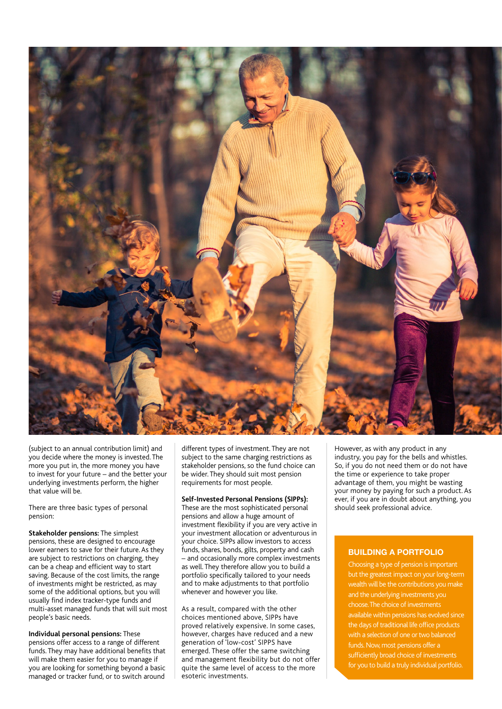

(subject to an annual contribution limit) and you decide where the money is invested. The more you put in, the more money you have to invest for your future – and the better your underlying investments perform, the higher that value will be.

There are three basic types of personal pension:

**Stakeholder pensions:** The simplest pensions, these are designed to encourage lower earners to save for their future. As they are subject to restrictions on charging, they can be a cheap and efficient way to start saving. Because of the cost limits, the range of investments might be restricted, as may some of the additional options, but you will usually find index tracker-type funds and multi-asset managed funds that will suit most people's basic needs.

**Individual personal pensions:** These pensions offer access to a range of different funds. They may have additional benefits that will make them easier for you to manage if you are looking for something beyond a basic managed or tracker fund, or to switch around

different types of investment. They are not subject to the same charging restrictions as stakeholder pensions, so the fund choice can be wider. They should suit most pension requirements for most people.

#### **Self-Invested Personal Pensions (SIPPs):**

These are the most sophisticated personal pensions and allow a huge amount of investment flexibility if you are very active in your investment allocation or adventurous in your choice. SIPPs allow investors to access funds, shares, bonds, gilts, property and cash – and occasionally more complex investments as well. They therefore allow you to build a portfolio specifically tailored to your needs and to make adjustments to that portfolio whenever and however you like.

As a result, compared with the other choices mentioned above, SIPPs have proved relatively expensive. In some cases, however, charges have reduced and a new generation of 'low-cost' SIPPS have emerged. These offer the same switching and management flexibility but do not offer quite the same level of access to the more esoteric investments.

However, as with any product in any industry, you pay for the bells and whistles. So, if you do not need them or do not have the time or experience to take proper advantage of them, you might be wasting your money by paying for such a product. As ever, if you are in doubt about anything, you should seek professional advice.

#### **BUILDING A PORTFOLIO**

Choosing a type of pension is important but the greatest impact on your long-term wealth will be the contributions you make and the underlying investments you choose. The choice of investments available within pensions has evolved since the days of traditional life office products with a selection of one or two balanced funds. Now, most pensions offer a sufficiently broad choice of investments for you to build a truly individual portfolio.